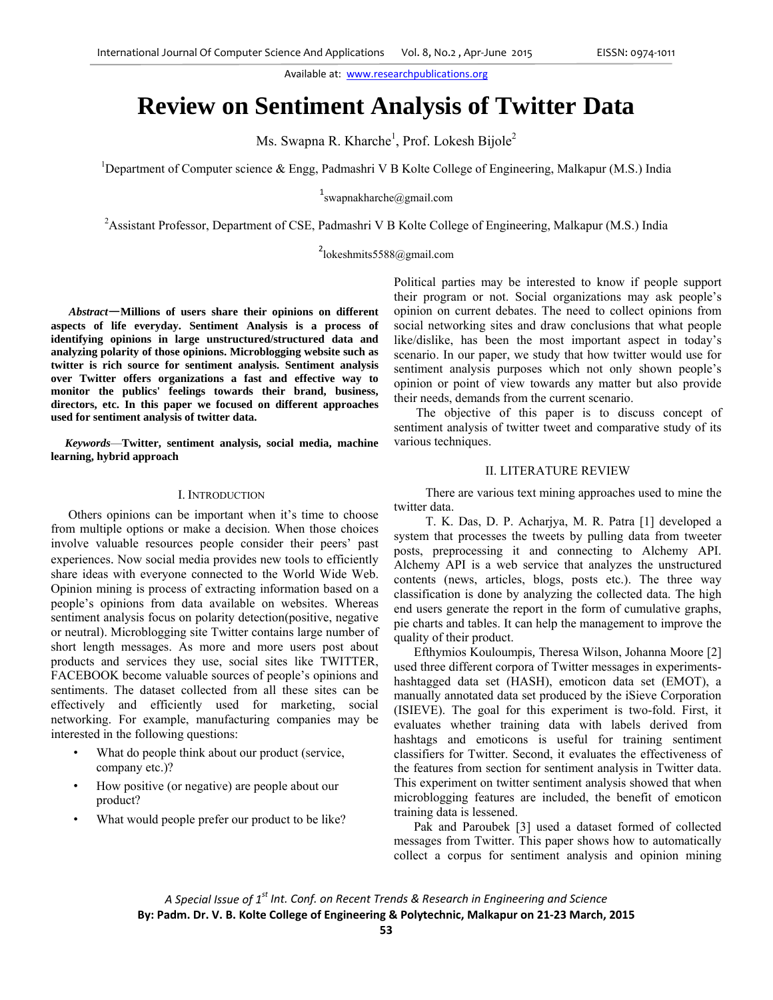# **Review on Sentiment Analysis of Twitter Data**

Ms. Swapna R. Kharche<sup>1</sup>, Prof. Lokesh Bijole<sup>2</sup>

<sup>1</sup>Department of Computer science & Engg, Padmashri V B Kolte College of Engineering, Malkapur (M.S.) India

 $1$ swapnakharche@gmail.com

<sup>2</sup> Assistant Professor, Department of CSE, Padmashri V B Kolte College of Engineering, Malkapur (M.S.) India

<sup>2</sup>lokeshmits5588@gmail.com

 *Abstract*—**Millions of users share their opinions on different aspects of life everyday. Sentiment Analysis is a process of identifying opinions in large unstructured/structured data and analyzing polarity of those opinions. Microblogging website such as twitter is rich source for sentiment analysis. Sentiment analysis over Twitter offers organizations a fast and effective way to monitor the publics' feelings towards their brand, business, directors, etc. In this paper we focused on different approaches used for sentiment analysis of twitter data.** 

 *Keywords*—**Twitter, sentiment analysis, social media, machine learning, hybrid approach** 

### I. INTRODUCTION

 Others opinions can be important when it's time to choose from multiple options or make a decision. When those choices involve valuable resources people consider their peers' past experiences. Now social media provides new tools to efficiently share ideas with everyone connected to the World Wide Web. Opinion mining is process of extracting information based on a people's opinions from data available on websites. Whereas sentiment analysis focus on polarity detection(positive, negative or neutral). Microblogging site Twitter contains large number of short length messages. As more and more users post about products and services they use, social sites like TWITTER, FACEBOOK become valuable sources of people's opinions and sentiments. The dataset collected from all these sites can be effectively and efficiently used for marketing, social networking. For example, manufacturing companies may be interested in the following questions:

- What do people think about our product (service, company etc.)?
- How positive (or negative) are people about our product?
- What would people prefer our product to be like?

Political parties may be interested to know if people support their program or not. Social organizations may ask people's opinion on current debates. The need to collect opinions from social networking sites and draw conclusions that what people like/dislike, has been the most important aspect in today's scenario. In our paper, we study that how twitter would use for sentiment analysis purposes which not only shown people's opinion or point of view towards any matter but also provide their needs, demands from the current scenario.

 The objective of this paper is to discuss concept of sentiment analysis of twitter tweet and comparative study of its various techniques.

# II. LITERATURE REVIEW

 There are various text mining approaches used to mine the twitter data.

 T. K. Das, D. P. Acharjya, M. R. Patra [1] developed a system that processes the tweets by pulling data from tweeter posts, preprocessing it and connecting to Alchemy API. Alchemy API is a web service that analyzes the unstructured contents (news, articles, blogs, posts etc.). The three way classification is done by analyzing the collected data. The high end users generate the report in the form of cumulative graphs, pie charts and tables. It can help the management to improve the quality of their product.

 Efthymios Kouloumpis*,* Theresa Wilson, Johanna Moore [2] used three different corpora of Twitter messages in experimentshashtagged data set (HASH), emoticon data set (EMOT), a manually annotated data set produced by the iSieve Corporation (ISIEVE). The goal for this experiment is two-fold. First, it evaluates whether training data with labels derived from hashtags and emoticons is useful for training sentiment classifiers for Twitter. Second, it evaluates the effectiveness of the features from section for sentiment analysis in Twitter data. This experiment on twitter sentiment analysis showed that when microblogging features are included, the benefit of emoticon training data is lessened.

 Pak and Paroubek [3] used a dataset formed of collected messages from Twitter. This paper shows how to automatically collect a corpus for sentiment analysis and opinion mining

*A Special Issue of 1st Int. Conf. on Recent Trends & Research in Engineering and Science* **By: Padm. Dr. V. B. Kolte College of Engineering & Polytechnic, Malkapur on 21‐23 March, 2015**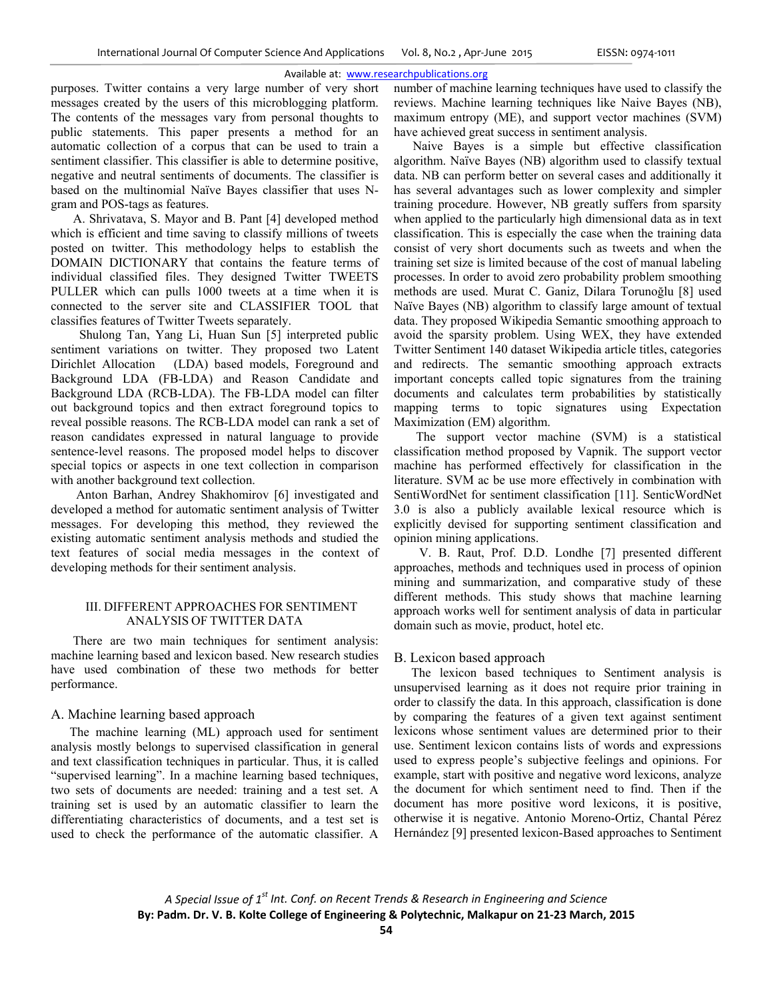purposes. Twitter contains a very large number of very short messages created by the users of this microblogging platform. The contents of the messages vary from personal thoughts to public statements. This paper presents a method for an automatic collection of a corpus that can be used to train a sentiment classifier. This classifier is able to determine positive, negative and neutral sentiments of documents. The classifier is based on the multinomial Naïve Bayes classifier that uses Ngram and POS-tags as features.

 A. Shrivatava, S. Mayor and B. Pant [4] developed method which is efficient and time saving to classify millions of tweets posted on twitter. This methodology helps to establish the DOMAIN DICTIONARY that contains the feature terms of individual classified files. They designed Twitter TWEETS PULLER which can pulls 1000 tweets at a time when it is connected to the server site and CLASSIFIER TOOL that classifies features of Twitter Tweets separately.

 Shulong Tan, Yang Li, Huan Sun [5] interpreted public sentiment variations on twitter. They proposed two Latent Dirichlet Allocation (LDA) based models, Foreground and Background LDA (FB-LDA) and Reason Candidate and Background LDA (RCB-LDA). The FB-LDA model can filter out background topics and then extract foreground topics to reveal possible reasons. The RCB-LDA model can rank a set of reason candidates expressed in natural language to provide sentence-level reasons. The proposed model helps to discover special topics or aspects in one text collection in comparison with another background text collection.

 Anton Barhan, Andrey Shakhomirov [6] investigated and developed a method for automatic sentiment analysis of Twitter messages. For developing this method, they reviewed the existing automatic sentiment analysis methods and studied the text features of social media messages in the context of developing methods for their sentiment analysis.

### III. DIFFERENT APPROACHES FOR SENTIMENT ANALYSIS OF TWITTER DATA

 There are two main techniques for sentiment analysis: machine learning based and lexicon based. New research studies have used combination of these two methods for better performance.

# A. Machine learning based approach

The machine learning (ML) approach used for sentiment analysis mostly belongs to supervised classification in general and text classification techniques in particular. Thus, it is called "supervised learning". In a machine learning based techniques, two sets of documents are needed: training and a test set. A training set is used by an automatic classifier to learn the differentiating characteristics of documents, and a test set is used to check the performance of the automatic classifier. A

number of machine learning techniques have used to classify the reviews. Machine learning techniques like Naive Bayes (NB), maximum entropy (ME), and support vector machines (SVM) have achieved great success in sentiment analysis.

 Naive Bayes is a simple but effective classification algorithm. Naïve Bayes (NB) algorithm used to classify textual data. NB can perform better on several cases and additionally it has several advantages such as lower complexity and simpler training procedure. However, NB greatly suffers from sparsity when applied to the particularly high dimensional data as in text classification. This is especially the case when the training data consist of very short documents such as tweets and when the training set size is limited because of the cost of manual labeling processes. In order to avoid zero probability problem smoothing methods are used. Murat C. Ganiz, Dilara Torunoğlu [8] used Naïve Bayes (NB) algorithm to classify large amount of textual data. They proposed Wikipedia Semantic smoothing approach to avoid the sparsity problem. Using WEX, they have extended Twitter Sentiment 140 dataset Wikipedia article titles, categories and redirects. The semantic smoothing approach extracts important concepts called topic signatures from the training documents and calculates term probabilities by statistically mapping terms to topic signatures using Expectation Maximization (EM) algorithm.

 The support vector machine (SVM) is a statistical classification method proposed by Vapnik. The support vector machine has performed effectively for classification in the literature. SVM ac be use more effectively in combination with SentiWordNet for sentiment classification [11]. SenticWordNet 3.0 is also a publicly available lexical resource which is explicitly devised for supporting sentiment classification and opinion mining applications.

 V. B. Raut, Prof. D.D. Londhe [7] presented different approaches, methods and techniques used in process of opinion mining and summarization, and comparative study of these different methods. This study shows that machine learning approach works well for sentiment analysis of data in particular domain such as movie, product, hotel etc.

### B. Lexicon based approach

The lexicon based techniques to Sentiment analysis is unsupervised learning as it does not require prior training in order to classify the data. In this approach, classification is done by comparing the features of a given text against sentiment lexicons whose sentiment values are determined prior to their use. Sentiment lexicon contains lists of words and expressions used to express people's subjective feelings and opinions. For example, start with positive and negative word lexicons, analyze the document for which sentiment need to find. Then if the document has more positive word lexicons, it is positive, otherwise it is negative. Antonio Moreno-Ortiz, Chantal Pérez Hernández [9] presented lexicon-Based approaches to Sentiment

*A Special Issue of 1st Int. Conf. on Recent Trends & Research in Engineering and Science* **By: Padm. Dr. V. B. Kolte College of Engineering & Polytechnic, Malkapur on 21‐23 March, 2015**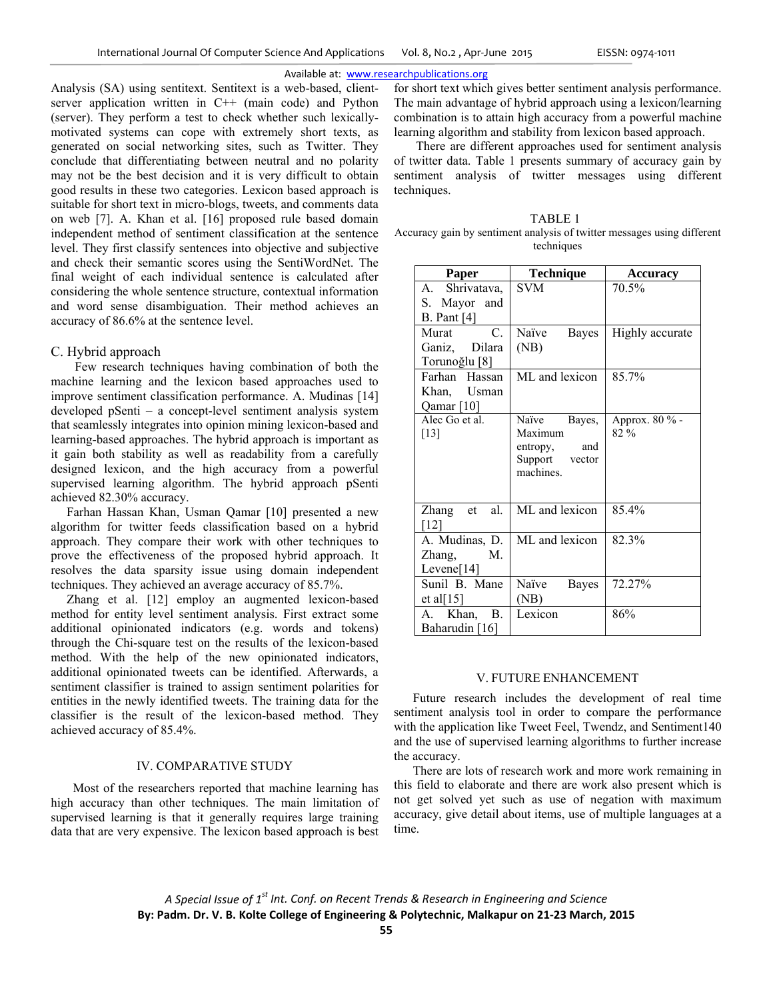Analysis (SA) using sentitext. Sentitext is a web-based, clientserver application written in C++ (main code) and Python (server). They perform a test to check whether such lexicallymotivated systems can cope with extremely short texts, as generated on social networking sites, such as Twitter. They conclude that differentiating between neutral and no polarity may not be the best decision and it is very difficult to obtain good results in these two categories. Lexicon based approach is suitable for short text in micro-blogs, tweets, and comments data on web [7]. A. Khan et al. [16] proposed rule based domain independent method of sentiment classification at the sentence level. They first classify sentences into objective and subjective and check their semantic scores using the SentiWordNet. The final weight of each individual sentence is calculated after considering the whole sentence structure, contextual information and word sense disambiguation. Their method achieves an accuracy of 86.6% at the sentence level.

### C. Hybrid approach

Few research techniques having combination of both the machine learning and the lexicon based approaches used to improve sentiment classification performance. A. Mudinas [14] developed pSenti – a concept-level sentiment analysis system that seamlessly integrates into opinion mining lexicon-based and learning-based approaches. The hybrid approach is important as it gain both stability as well as readability from a carefully designed lexicon, and the high accuracy from a powerful supervised learning algorithm. The hybrid approach pSenti achieved 82.30% accuracy.

Farhan Hassan Khan, Usman Qamar [10] presented a new algorithm for twitter feeds classification based on a hybrid approach. They compare their work with other techniques to prove the effectiveness of the proposed hybrid approach. It resolves the data sparsity issue using domain independent techniques. They achieved an average accuracy of 85.7%.

 Zhang et al. [12] employ an augmented lexicon-based method for entity level sentiment analysis. First extract some additional opinionated indicators (e.g. words and tokens) through the Chi-square test on the results of the lexicon-based method. With the help of the new opinionated indicators, additional opinionated tweets can be identified. Afterwards, a sentiment classifier is trained to assign sentiment polarities for entities in the newly identified tweets. The training data for the classifier is the result of the lexicon-based method. They achieved accuracy of 85.4%.

### IV. COMPARATIVE STUDY

 Most of the researchers reported that machine learning has high accuracy than other techniques. The main limitation of supervised learning is that it generally requires large training data that are very expensive. The lexicon based approach is best

for short text which gives better sentiment analysis performance. The main advantage of hybrid approach using a lexicon/learning combination is to attain high accuracy from a powerful machine learning algorithm and stability from lexicon based approach.

 There are different approaches used for sentiment analysis of twitter data. Table 1 presents summary of accuracy gain by sentiment analysis of twitter messages using different techniques.

TABLE 1 Accuracy gain by sentiment analysis of twitter messages using different techniques

| Paper                    | <b>Technique</b>           | <b>Accuracy</b>        |
|--------------------------|----------------------------|------------------------|
| A. Shrivatava,           | <b>SVM</b>                 | 70.5%                  |
| S. Mayor and             |                            |                        |
| B. Pant $[4]$            |                            |                        |
| C.<br>Murat              | Naïve<br>Bayes             | Highly accurate        |
| Ganiz, Dilara            | (NB)                       |                        |
| Torunoğlu <sup>[8]</sup> |                            |                        |
| Farhan Hassan            | ML and lexicon             | 85.7%                  |
| Khan, Usman              |                            |                        |
| Qamar <sup>[10]</sup>    |                            |                        |
| Alec Go et al.<br>$[13]$ | Naïve<br>Bayes,<br>Maximum | Approx. 80 % -<br>82 % |
|                          | entropy, and               |                        |
|                          | Support vector             |                        |
|                          | machines.                  |                        |
|                          |                            |                        |
| al.<br>Zhang et          | ML and lexicon             | 85.4%                  |
| [12]                     |                            |                        |
| A. Mudinas, D.           | ML and lexicon             | 82.3%                  |
| Zhang, M.                |                            |                        |
| Levene[ $14$ ]           |                            |                        |
| Sunil B. Mane            | Naïve<br>Bayes             | 72.27%                 |
| et al $[15]$             | (NB)                       |                        |
| Khan, B.<br>A.           | Lexicon                    | 86%                    |
| Baharudin [16]           |                            |                        |

### V. FUTURE ENHANCEMENT

 Future research includes the development of real time sentiment analysis tool in order to compare the performance with the application like Tweet Feel, Twendz, and Sentiment140 and the use of supervised learning algorithms to further increase the accuracy.

 There are lots of research work and more work remaining in this field to elaborate and there are work also present which is not get solved yet such as use of negation with maximum accuracy, give detail about items, use of multiple languages at a time.

*A Special Issue of 1st Int. Conf. on Recent Trends & Research in Engineering and Science* **By: Padm. Dr. V. B. Kolte College of Engineering & Polytechnic, Malkapur on 21‐23 March, 2015**